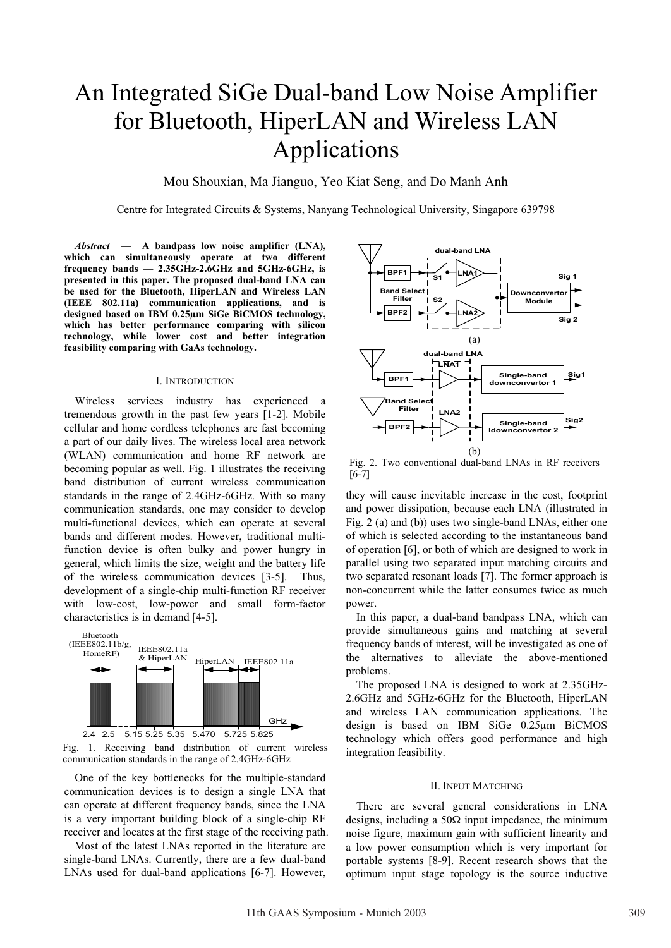# An Integrated SiGe Dual-band Low Noise Amplifier for Bluetooth, HiperLAN and Wireless LAN Applications

Mou Shouxian, Ma Jianguo, Yeo Kiat Seng, and Do Manh Anh

Centre for Integrated Circuits & Systems, Nanyang Technological University, Singapore 639798

*Abstract* **— A bandpass low noise amplifier (LNA), which can simultaneously operate at two different frequency bands — 2.35GHz-2.6GHz and 5GHz-6GHz, is presented in this paper. The proposed dual-band LNA can be used for the Bluetooth, HiperLAN and Wireless LAN (IEEE 802.11a) communication applications, and is designed based on IBM 0.25µm SiGe BiCMOS technology, which has better performance comparing with silicon technology, while lower cost and better integration feasibility comparing with GaAs technology.** 

#### I. INTRODUCTION

Wireless services industry has experienced a tremendous growth in the past few years [1-2]. Mobile cellular and home cordless telephones are fast becoming a part of our daily lives. The wireless local area network (WLAN) communication and home RF network are becoming popular as well. Fig. 1 illustrates the receiving band distribution of current wireless communication standards in the range of 2.4GHz-6GHz. With so many communication standards, one may consider to develop multi-functional devices, which can operate at several bands and different modes. However, traditional multifunction device is often bulky and power hungry in general, which limits the size, weight and the battery life of the wireless communication devices [3-5]. Thus, development of a single-chip multi-function RF receiver with low-cost, low-power and small form-factor characteristics is in demand [4-5].



Fig. 1. Receiving band distribution of current wireless communication standards in the range of 2.4GHz-6GHz

One of the key bottlenecks for the multiple-standard communication devices is to design a single LNA that can operate at different frequency bands, since the LNA is a very important building block of a single-chip RF receiver and locates at the first stage of the receiving path.

Most of the latest LNAs reported in the literature are single-band LNAs. Currently, there are a few dual-band LNAs used for dual-band applications [6-7]. However,



Fig. 2. Two conventional dual-band LNAs in RF receivers [6-7]

they will cause inevitable increase in the cost, footprint and power dissipation, because each LNA (illustrated in Fig. 2 (a) and (b)) uses two single-band LNAs, either one of which is selected according to the instantaneous band of operation [6], or both of which are designed to work in parallel using two separated input matching circuits and two separated resonant loads [7]. The former approach is non-concurrent while the latter consumes twice as much power.

In this paper, a dual-band bandpass LNA, which can provide simultaneous gains and matching at several frequency bands of interest, will be investigated as one of the alternatives to alleviate the above-mentioned problems.

The proposed LNA is designed to work at 2.35GHz-2.6GHz and 5GHz-6GHz for the Bluetooth, HiperLAN and wireless LAN communication applications. The design is based on IBM SiGe 0.25µm BiCMOS technology which offers good performance and high integration feasibility.

### II. INPUT MATCHING

There are several general considerations in LNA designs, including a  $50\Omega$  input impedance, the minimum noise figure, maximum gain with sufficient linearity and a low power consumption which is very important for portable systems [8-9]. Recent research shows that the optimum input stage topology is the source inductive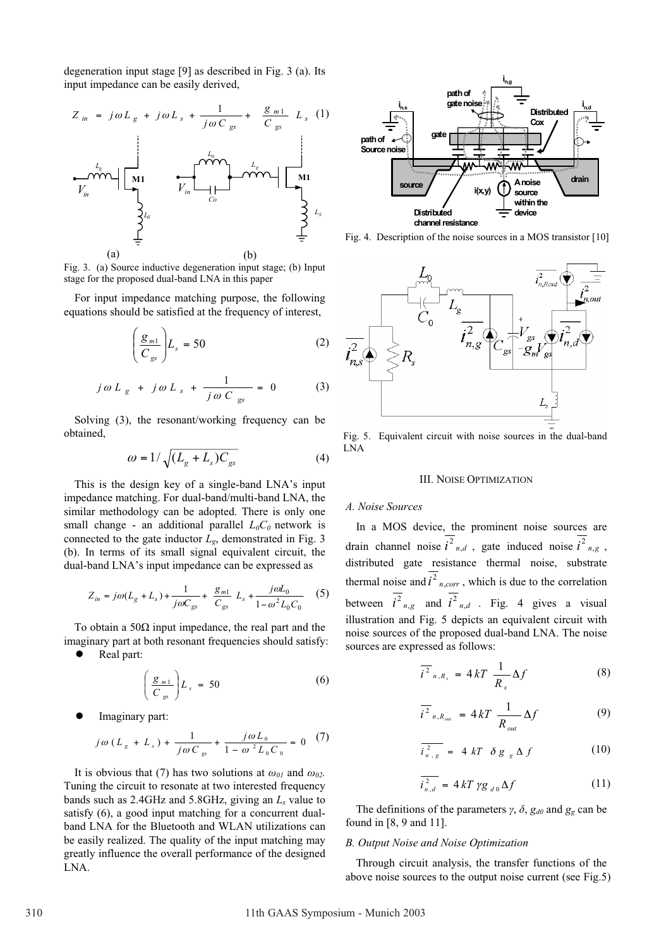degeneration input stage [9] as described in Fig. 3 (a). Its input impedance can be easily derived,



Fig. 3. (a) Source inductive degeneration input stage; (b) Input stage for the proposed dual-band LNA in this paper

For input impedance matching purpose, the following equations should be satisfied at the frequency of interest,

$$
\left(\frac{\mathcal{g}_{m1}}{C_{gs}}\right)L_s = 50\tag{2}
$$

$$
j\,\omega\,L_{g} + j\,\omega\,L_{s} + \frac{1}{j\,\omega\,C_{gs}} = 0 \tag{3}
$$

Solving (3), the resonant/working frequency can be obtained,

$$
\omega = 1/\sqrt{(L_g + L_s)C_{gs}}
$$
 (4)

This is the design key of a single-band LNA's input impedance matching. For dual-band/multi-band LNA, the similar methodology can be adopted. There is only one small change - an additional parallel  $L_0C_0$  network is connected to the gate inductor  $L_g$ , demonstrated in Fig. 3 (b). In terms of its small signal equivalent circuit, the dual-band LNA's input impedance can be expressed as

$$
Z_{in} = j\omega (L_g + L_s) + \frac{1}{j\omega C_{gs}} + \frac{g_{m1}}{C_{gs}} L_s + \frac{j\omega L_0}{1 - \omega^2 L_0 C_0} \quad (5)
$$

To obtain a 50 $\Omega$  input impedance, the real part and the imaginary part at both resonant frequencies should satisfy:

Real part:

$$
\left(\frac{g_{m1}}{C_{gs}}\right)L_s = 50\tag{6}
$$

Imaginary part:

$$
j\omega (L_{g} + L_{s}) + \frac{1}{j\omega C_{gs}} + \frac{j\omega L_{0}}{1 - \omega^{2} L_{0} C_{0}} = 0
$$
 (7)

It is obvious that (7) has two solutions at  $\omega_{0I}$  and  $\omega_{02}$ . Tuning the circuit to resonate at two interested frequency bands such as 2.4GHz and 5.8GHz, giving an *Ls* value to satisfy (6), a good input matching for a concurrent dualband LNA for the Bluetooth and WLAN utilizations can be easily realized. The quality of the input matching may greatly influence the overall performance of the designed LNA.



Fig. 4. Description of the noise sources in a MOS transistor [10]



Fig. 5. Equivalent circuit with noise sources in the dual-band LNA

## III. NOISE OPTIMIZATION

# *A. Noise Sources*

In a MOS device, the prominent noise sources are drain channel noise  $i^2_{n,d}$ , gate induced noise  $i^2_{n,g}$ , distributed gate resistance thermal noise, substrate thermal noise and  $\overline{i^2}_{n,corr}$ , which is due to the correlation between  $i^2_{n,g}$  and  $i^2_{n,d}$ . Fig. 4 gives a visual illustration and Fig. 5 depicts an equivalent circuit with noise sources of the proposed dual-band LNA. The noise sources are expressed as follows:

$$
\overline{i^2}_{n,R_s} = 4kT \frac{1}{R_s} \Delta f \tag{8}
$$

$$
\overline{i^2}_{n,R_{out}} = 4kT \frac{1}{R_{out}} \Delta f \tag{9}
$$

$$
\overline{i_{n,g}^2} = 4 kT \delta g_g \Delta f \qquad (10)
$$

$$
\overline{i_{n,d}^2} = 4kT \gamma g_{d0} \Delta f \qquad (11)
$$

The definitions of the parameters  $\gamma$ ,  $\delta$ ,  $g_{d0}$  and  $g_g$  can be found in [8, 9 and 11].

## *B. Output Noise and Noise Optimization*

Through circuit analysis, the transfer functions of the above noise sources to the output noise current (see Fig.5)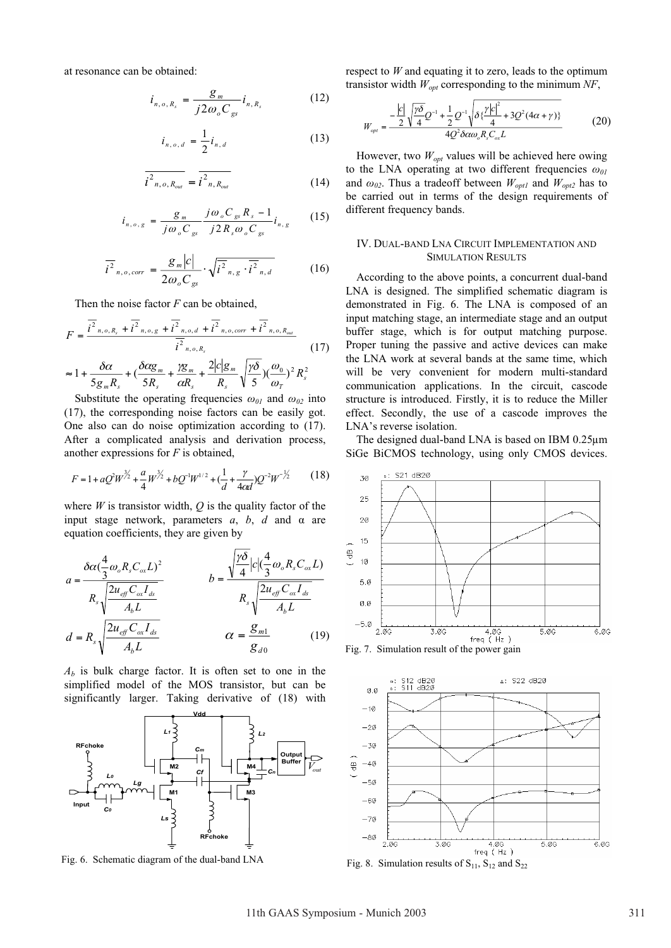at resonance can be obtained:

$$
i_{n, o, R_s} = \frac{g_m}{j2\omega_o C_{gs}} i_{n, R_s}
$$
 (12)

$$
i_{n, o, d} = \frac{1}{2} i_{n, d} \tag{13}
$$

$$
\overline{i^2_{n, o, R_{out}}} = \overline{i^2_{n, R_{out}}} \tag{14}
$$

$$
i_{n, o, g} = \frac{g_m}{j\omega_o C_{gs}} \frac{j\omega_o C_{gs} R_s - 1}{j2R_s\omega_o C_{gs}} i_{n, g}
$$
 (15)

$$
\overline{i^2}_{n,o,corr} = \frac{g_m|c|}{2\omega_o C_{gs}} \cdot \sqrt{\overline{i^2}_{n,g} \cdot \overline{i^2}_{n,d}}
$$
(16)

Then the noise factor *F* can be obtained,

$$
F = \frac{\overline{i^2}_{n,o,R_s} + \overline{i^2}_{n,o,g} + \overline{i^2}_{n,o,d} + \overline{i^2}_{n,o,corr} + \overline{i^2}_{n,o,R_{out}}}{\overline{i^2}_{n,o,R_s}}
$$
(17)  

$$
\approx 1 + \frac{\delta \alpha}{5g_m R_s} + (\frac{\delta \alpha g_m}{5R_s} + \frac{\gamma g_m}{\alpha R_s} + \frac{2|c|g_m}{R_s} \sqrt{\frac{\gamma \delta}{5}})(\frac{\omega_0}{\omega_T})^2 R_s^2
$$

Substitute the operating frequencies  $\omega_{01}$  and  $\omega_{02}$  into (17), the corresponding noise factors can be easily got. One also can do noise optimization according to (17). After a complicated analysis and derivation process, another expressions for *F* is obtained,

$$
F = 1 + aQ^2W^{\frac{3}{2}} + \frac{a}{4}W^{\frac{3}{2}} + bQ^{-1}W^{1/2} + (\frac{1}{d} + \frac{\gamma}{4cd})Q^{-2}W^{-\frac{1}{2}} \tag{18}
$$

where  $W$  is transistor width,  $Q$  is the quality factor of the input stage network, parameters  $a$ ,  $b$ ,  $d$  and  $\alpha$  are equation coefficients, they are given by

$$
a = \frac{\delta \alpha (\frac{4}{3} \omega_o R_s C_{ox} L)^2}{R_s \sqrt{\frac{2u_{eff} C_{ox} I_{ds}}{A_b L}}}
$$
\n
$$
b = \frac{\sqrt{\frac{\gamma \delta}{4}} |c| (\frac{4}{3} \omega_o R_s C_{ox} L)}{R_s \sqrt{\frac{2u_{eff} C_{ox} I_{ds}}{A_b L}}}
$$
\n
$$
d = R_s \sqrt{\frac{2u_{eff} C_{ox} I_{ds}}{A_b L}}
$$
\n
$$
\alpha = \frac{g_{m1}}{g_{d0}}
$$
\n(19)

*Ab* is bulk charge factor. It is often set to one in the simplified model of the MOS transistor, but can be significantly larger. Taking derivative of (18) with



Fig. 6. Schematic diagram of the dual-band LNA

respect to *W* and equating it to zero, leads to the optimum transistor width *Wopt* corresponding to the minimum *NF*,

$$
W_{opt} = \frac{-\frac{|c|}{2}\sqrt{\frac{\gamma\delta}{4}Q^{-1} + \frac{1}{2}Q^{-1}\sqrt{\delta\{\frac{\gamma|c|^2}{4} + 3Q^2(4\alpha + \gamma)\}}}}{4Q^2 \delta \alpha \omega_o R_s C_{ox} L}
$$
(20)

However, two  $W_{opt}$  values will be achieved here owing to the LNA operating at two different frequencies  $\omega_{0I}$ and  $\omega_{02}$ . Thus a tradeoff between  $W_{opt1}$  and  $W_{opt2}$  has to be carried out in terms of the design requirements of different frequency bands.

# IV. DUAL-BAND LNA CIRCUIT IMPLEMENTATION AND SIMULATION RESULTS

According to the above points, a concurrent dual-band LNA is designed. The simplified schematic diagram is demonstrated in Fig. 6. The LNA is composed of an input matching stage, an intermediate stage and an output buffer stage, which is for output matching purpose. Proper tuning the passive and active devices can make the LNA work at several bands at the same time, which will be very convenient for modern multi-standard communication applications. In the circuit, cascode structure is introduced. Firstly, it is to reduce the Miller effect. Secondly, the use of a cascode improves the LNA's reverse isolation.

The designed dual-band LNA is based on IBM 0.25µm SiGe BiCMOS technology, using only CMOS devices.



Fig. 7. Simulation result of the power gain



Fig. 8. Simulation results of  $S_{11}$ ,  $S_{12}$  and  $S_{22}$